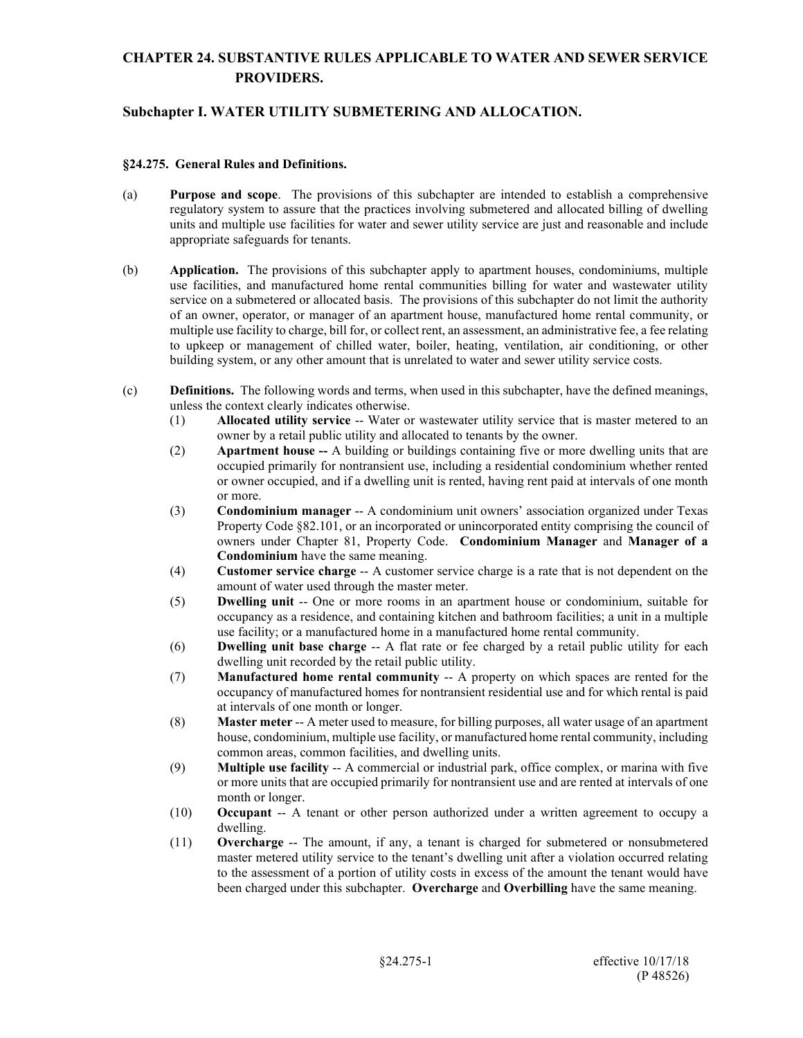### **Subchapter I. WATER UTILITY SUBMETERING AND ALLOCATION.**

#### **§24.275. General Rules and Definitions.**

- (a) **Purpose and scope**. The provisions of this subchapter are intended to establish a comprehensive regulatory system to assure that the practices involving submetered and allocated billing of dwelling units and multiple use facilities for water and sewer utility service are just and reasonable and include appropriate safeguards for tenants.
- (b) **Application.** The provisions of this subchapter apply to apartment houses, condominiums, multiple use facilities, and manufactured home rental communities billing for water and wastewater utility service on a submetered or allocated basis. The provisions of this subchapter do not limit the authority of an owner, operator, or manager of an apartment house, manufactured home rental community, or multiple use facility to charge, bill for, or collect rent, an assessment, an administrative fee, a fee relating to upkeep or management of chilled water, boiler, heating, ventilation, air conditioning, or other building system, or any other amount that is unrelated to water and sewer utility service costs.
- (c) **Definitions.** The following words and terms, when used in this subchapter, have the defined meanings, unless the context clearly indicates otherwise.
	- (1) **Allocated utility service** -- Water or wastewater utility service that is master metered to an owner by a retail public utility and allocated to tenants by the owner.
	- (2) **Apartment house --** A building or buildings containing five or more dwelling units that are occupied primarily for nontransient use, including a residential condominium whether rented or owner occupied, and if a dwelling unit is rented, having rent paid at intervals of one month or more.
	- (3) **Condominium manager** -- A condominium unit owners' association organized under Texas Property Code §82.101, or an incorporated or unincorporated entity comprising the council of owners under Chapter 81, Property Code. **Condominium Manager** and **Manager of a Condominium** have the same meaning.
	- (4) **Customer service charge** -- A customer service charge is a rate that is not dependent on the amount of water used through the master meter.
	- (5) **Dwelling unit** -- One or more rooms in an apartment house or condominium, suitable for occupancy as a residence, and containing kitchen and bathroom facilities; a unit in a multiple use facility; or a manufactured home in a manufactured home rental community.
	- (6) **Dwelling unit base charge** -- A flat rate or fee charged by a retail public utility for each dwelling unit recorded by the retail public utility.
	- (7) **Manufactured home rental community** -- A property on which spaces are rented for the occupancy of manufactured homes for nontransient residential use and for which rental is paid at intervals of one month or longer.
	- (8) **Master meter** -- A meter used to measure, for billing purposes, all water usage of an apartment house, condominium, multiple use facility, or manufactured home rental community, including common areas, common facilities, and dwelling units.
	- (9) **Multiple use facility** -- A commercial or industrial park, office complex, or marina with five or more units that are occupied primarily for nontransient use and are rented at intervals of one month or longer.
	- (10) **Occupant** -- A tenant or other person authorized under a written agreement to occupy a dwelling.
	- (11) **Overcharge** -- The amount, if any, a tenant is charged for submetered or nonsubmetered master metered utility service to the tenant's dwelling unit after a violation occurred relating to the assessment of a portion of utility costs in excess of the amount the tenant would have been charged under this subchapter. **Overcharge** and **Overbilling** have the same meaning.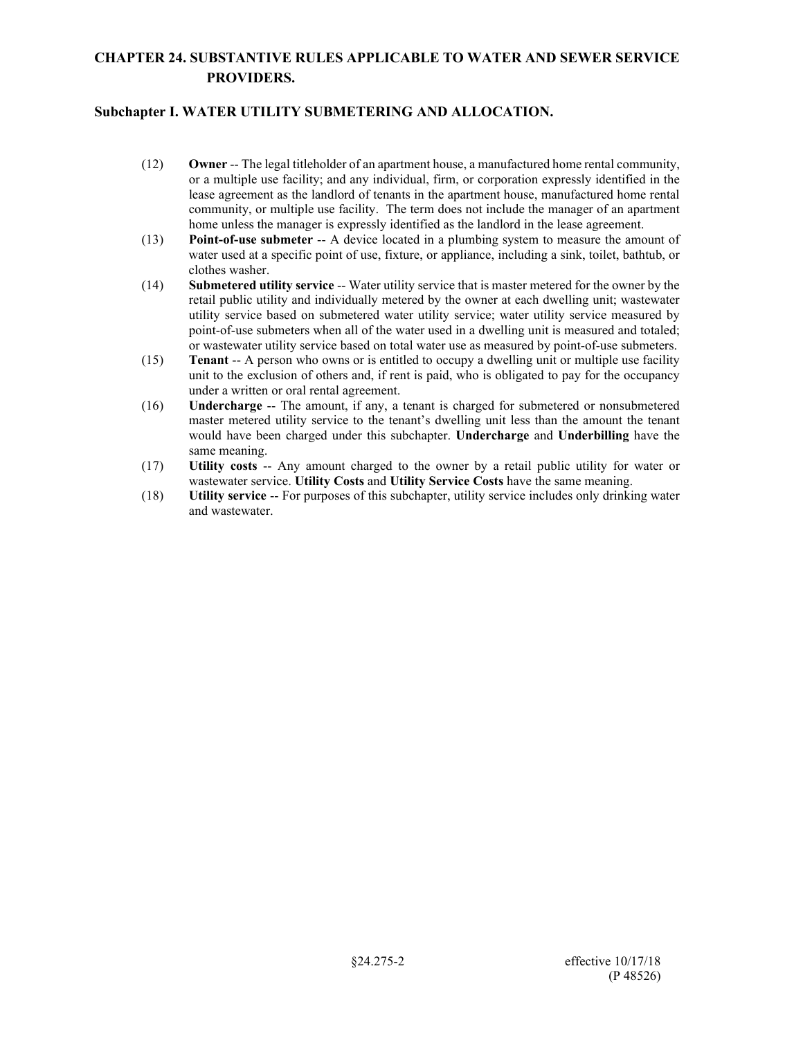- (12) **Owner** -- The legal titleholder of an apartment house, a manufactured home rental community, or a multiple use facility; and any individual, firm, or corporation expressly identified in the lease agreement as the landlord of tenants in the apartment house, manufactured home rental community, or multiple use facility. The term does not include the manager of an apartment home unless the manager is expressly identified as the landlord in the lease agreement.
- (13) **Point-of-use submeter** -- A device located in a plumbing system to measure the amount of water used at a specific point of use, fixture, or appliance, including a sink, toilet, bathtub, or clothes washer.
- (14) **Submetered utility service** -- Water utility service that is master metered for the owner by the retail public utility and individually metered by the owner at each dwelling unit; wastewater utility service based on submetered water utility service; water utility service measured by point-of-use submeters when all of the water used in a dwelling unit is measured and totaled; or wastewater utility service based on total water use as measured by point-of-use submeters.
- (15) **Tenant** -- A person who owns or is entitled to occupy a dwelling unit or multiple use facility unit to the exclusion of others and, if rent is paid, who is obligated to pay for the occupancy under a written or oral rental agreement.
- (16) **Undercharge** -- The amount, if any, a tenant is charged for submetered or nonsubmetered master metered utility service to the tenant's dwelling unit less than the amount the tenant would have been charged under this subchapter. **Undercharge** and **Underbilling** have the same meaning.
- (17) **Utility costs** -- Any amount charged to the owner by a retail public utility for water or wastewater service. **Utility Costs** and **Utility Service Costs** have the same meaning.
- (18) **Utility service** -- For purposes of this subchapter, utility service includes only drinking water and wastewater.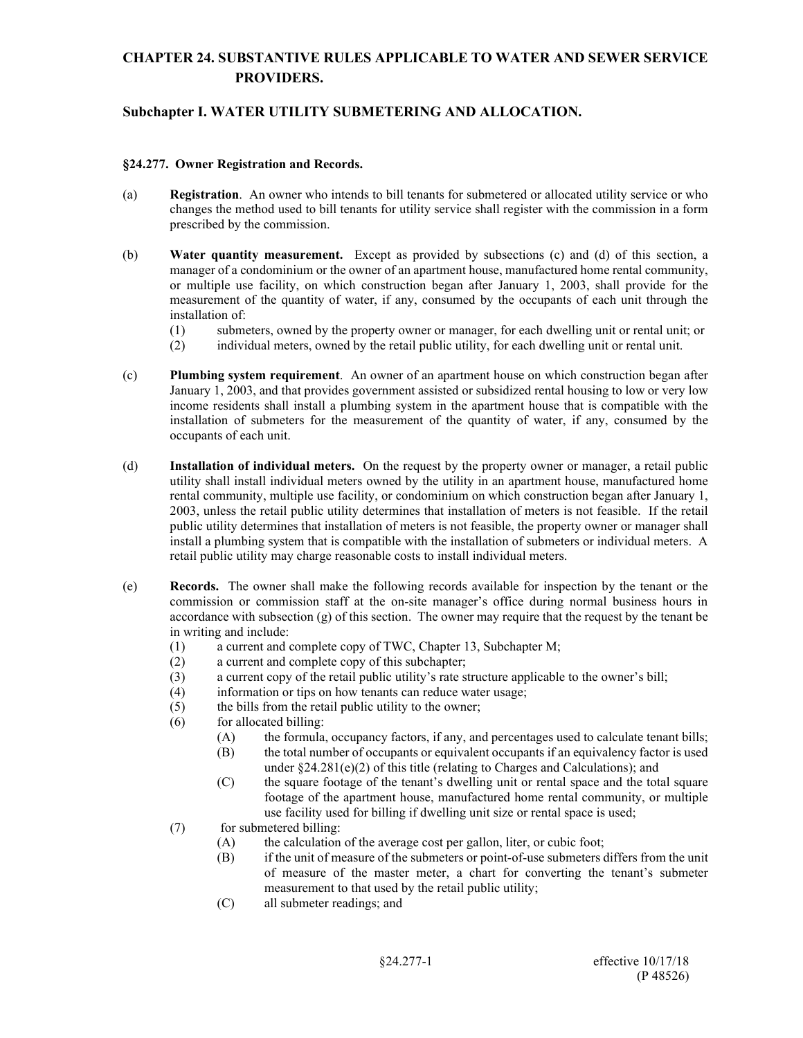### **Subchapter I. WATER UTILITY SUBMETERING AND ALLOCATION.**

#### **§24.277. Owner Registration and Records.**

- (a) **Registration**. An owner who intends to bill tenants for submetered or allocated utility service or who changes the method used to bill tenants for utility service shall register with the commission in a form prescribed by the commission.
- (b) **Water quantity measurement.** Except as provided by subsections (c) and (d) of this section, a manager of a condominium or the owner of an apartment house, manufactured home rental community, or multiple use facility, on which construction began after January 1, 2003, shall provide for the measurement of the quantity of water, if any, consumed by the occupants of each unit through the installation of:
	- (1) submeters, owned by the property owner or manager, for each dwelling unit or rental unit; or
	- (2) individual meters, owned by the retail public utility, for each dwelling unit or rental unit.
- (c) **Plumbing system requirement**. An owner of an apartment house on which construction began after January 1, 2003, and that provides government assisted or subsidized rental housing to low or very low income residents shall install a plumbing system in the apartment house that is compatible with the installation of submeters for the measurement of the quantity of water, if any, consumed by the occupants of each unit.
- (d) **Installation of individual meters.** On the request by the property owner or manager, a retail public utility shall install individual meters owned by the utility in an apartment house, manufactured home rental community, multiple use facility, or condominium on which construction began after January 1, 2003, unless the retail public utility determines that installation of meters is not feasible. If the retail public utility determines that installation of meters is not feasible, the property owner or manager shall install a plumbing system that is compatible with the installation of submeters or individual meters. A retail public utility may charge reasonable costs to install individual meters.
- (e) **Records.** The owner shall make the following records available for inspection by the tenant or the commission or commission staff at the on-site manager's office during normal business hours in accordance with subsection  $(g)$  of this section. The owner may require that the request by the tenant be in writing and include:
	- (1) a current and complete copy of TWC, Chapter 13, Subchapter M;
	- (2) a current and complete copy of this subchapter;
	- (3) a current copy of the retail public utility's rate structure applicable to the owner's bill;
	- (4) information or tips on how tenants can reduce water usage;
	- (5) the bills from the retail public utility to the owner;
	- (6) for allocated billing:
		- (A) the formula, occupancy factors, if any, and percentages used to calculate tenant bills;
		- (B) the total number of occupants or equivalent occupants if an equivalency factor is used under  $\S 24.281(e)(2)$  of this title (relating to Charges and Calculations); and
		- (C) the square footage of the tenant's dwelling unit or rental space and the total square footage of the apartment house, manufactured home rental community, or multiple use facility used for billing if dwelling unit size or rental space is used;
	- (7) for submetered billing:
		- (A) the calculation of the average cost per gallon, liter, or cubic foot;
		- (B) if the unit of measure of the submeters or point-of-use submeters differs from the unit of measure of the master meter, a chart for converting the tenant's submeter measurement to that used by the retail public utility;
		- (C) all submeter readings; and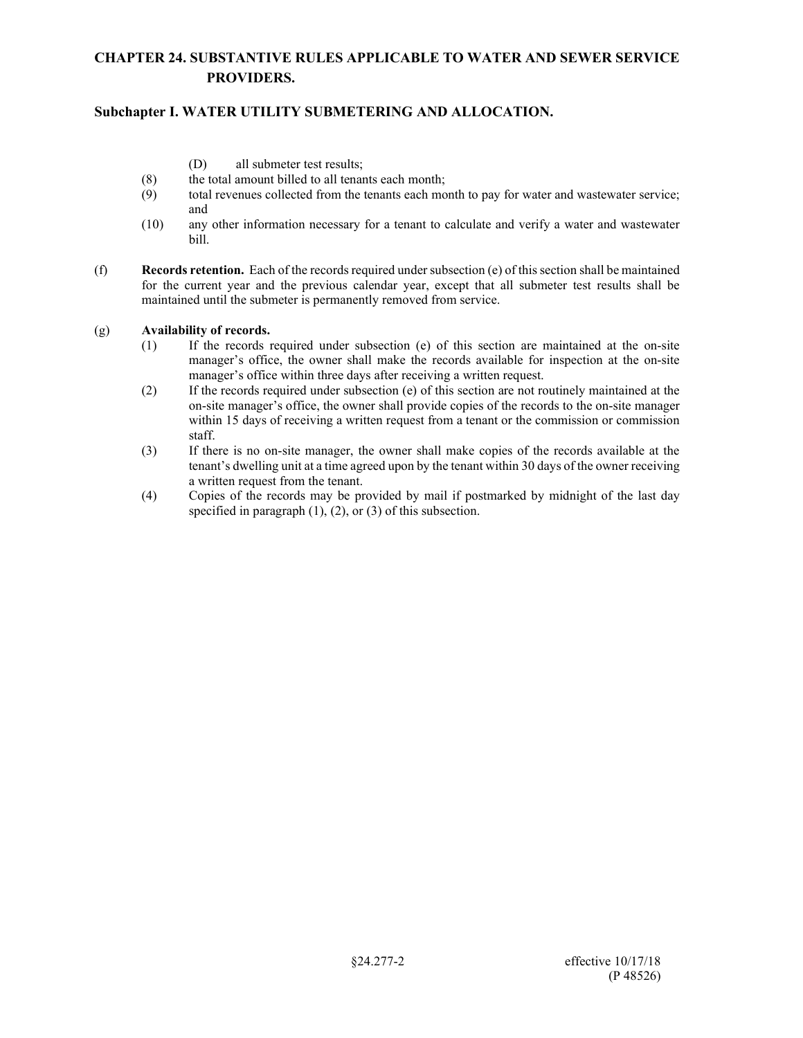## **Subchapter I. WATER UTILITY SUBMETERING AND ALLOCATION.**

- (D) all submeter test results;
- (8) the total amount billed to all tenants each month;
- (9) total revenues collected from the tenants each month to pay for water and wastewater service; and
- (10) any other information necessary for a tenant to calculate and verify a water and wastewater bill.
- (f) **Records retention.** Each of the records required under subsection (e) of this section shall be maintained for the current year and the previous calendar year, except that all submeter test results shall be maintained until the submeter is permanently removed from service.

#### (g) **Availability of records.**

- (1) If the records required under subsection (e) of this section are maintained at the on-site manager's office, the owner shall make the records available for inspection at the on-site manager's office within three days after receiving a written request.
- (2) If the records required under subsection (e) of this section are not routinely maintained at the on-site manager's office, the owner shall provide copies of the records to the on-site manager within 15 days of receiving a written request from a tenant or the commission or commission staff.
- (3) If there is no on-site manager, the owner shall make copies of the records available at the tenant's dwelling unit at a time agreed upon by the tenant within 30 days of the owner receiving a written request from the tenant.
- (4) Copies of the records may be provided by mail if postmarked by midnight of the last day specified in paragraph (1), (2), or (3) of this subsection.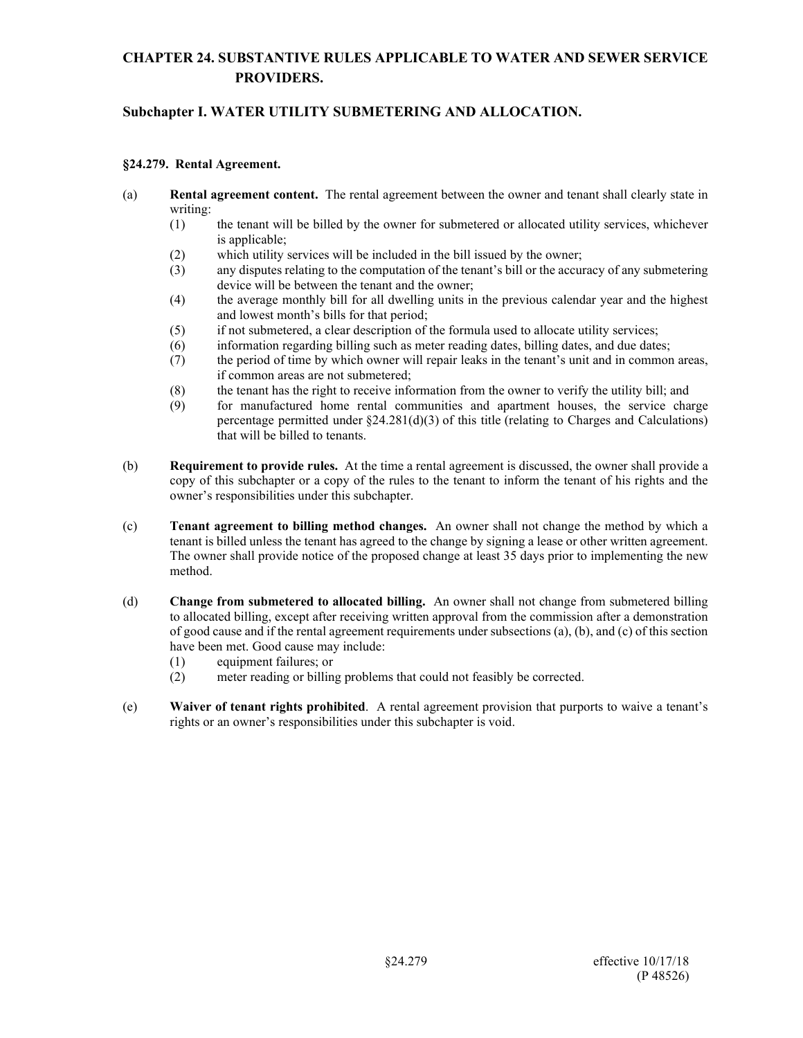## **Subchapter I. WATER UTILITY SUBMETERING AND ALLOCATION.**

#### **§24.279. Rental Agreement.**

- (a) **Rental agreement content.** The rental agreement between the owner and tenant shall clearly state in writing:
	- (1) the tenant will be billed by the owner for submetered or allocated utility services, whichever is applicable;
	- (2) which utility services will be included in the bill issued by the owner;
	- (3) any disputes relating to the computation of the tenant's bill or the accuracy of any submetering device will be between the tenant and the owner;
	- (4) the average monthly bill for all dwelling units in the previous calendar year and the highest and lowest month's bills for that period;
	- (5) if not submetered, a clear description of the formula used to allocate utility services;
	- (6) information regarding billing such as meter reading dates, billing dates, and due dates;
	- (7) the period of time by which owner will repair leaks in the tenant's unit and in common areas, if common areas are not submetered;
	- (8) the tenant has the right to receive information from the owner to verify the utility bill; and
	- (9) for manufactured home rental communities and apartment houses, the service charge percentage permitted under  $\S 24.281(d)(3)$  of this title (relating to Charges and Calculations) that will be billed to tenants.
- (b) **Requirement to provide rules.** At the time a rental agreement is discussed, the owner shall provide a copy of this subchapter or a copy of the rules to the tenant to inform the tenant of his rights and the owner's responsibilities under this subchapter.
- (c) **Tenant agreement to billing method changes.** An owner shall not change the method by which a tenant is billed unless the tenant has agreed to the change by signing a lease or other written agreement. The owner shall provide notice of the proposed change at least 35 days prior to implementing the new method.
- (d) **Change from submetered to allocated billing.** An owner shall not change from submetered billing to allocated billing, except after receiving written approval from the commission after a demonstration of good cause and if the rental agreement requirements under subsections (a), (b), and (c) of this section have been met. Good cause may include:
	- (1) equipment failures; or
	- (2) meter reading or billing problems that could not feasibly be corrected.
- (e) **Waiver of tenant rights prohibited**. A rental agreement provision that purports to waive a tenant's rights or an owner's responsibilities under this subchapter is void.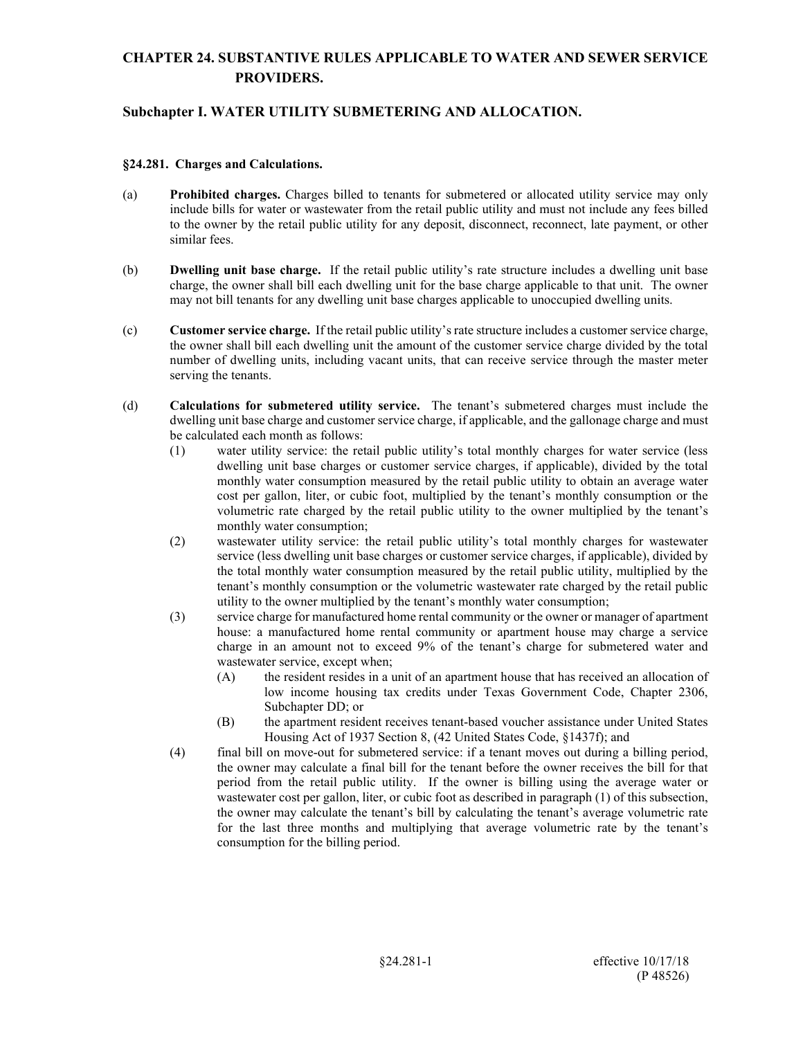### **Subchapter I. WATER UTILITY SUBMETERING AND ALLOCATION.**

#### **§24.281. Charges and Calculations.**

- (a) **Prohibited charges.** Charges billed to tenants for submetered or allocated utility service may only include bills for water or wastewater from the retail public utility and must not include any fees billed to the owner by the retail public utility for any deposit, disconnect, reconnect, late payment, or other similar fees.
- (b) **Dwelling unit base charge.** If the retail public utility's rate structure includes a dwelling unit base charge, the owner shall bill each dwelling unit for the base charge applicable to that unit. The owner may not bill tenants for any dwelling unit base charges applicable to unoccupied dwelling units.
- (c) **Customer service charge.** If the retail public utility's rate structure includes a customer service charge, the owner shall bill each dwelling unit the amount of the customer service charge divided by the total number of dwelling units, including vacant units, that can receive service through the master meter serving the tenants.
- (d) **Calculations for submetered utility service.** The tenant's submetered charges must include the dwelling unit base charge and customer service charge, if applicable, and the gallonage charge and must be calculated each month as follows:
	- (1) water utility service: the retail public utility's total monthly charges for water service (less dwelling unit base charges or customer service charges, if applicable), divided by the total monthly water consumption measured by the retail public utility to obtain an average water cost per gallon, liter, or cubic foot, multiplied by the tenant's monthly consumption or the volumetric rate charged by the retail public utility to the owner multiplied by the tenant's monthly water consumption;
	- (2) wastewater utility service: the retail public utility's total monthly charges for wastewater service (less dwelling unit base charges or customer service charges, if applicable), divided by the total monthly water consumption measured by the retail public utility, multiplied by the tenant's monthly consumption or the volumetric wastewater rate charged by the retail public utility to the owner multiplied by the tenant's monthly water consumption;
	- (3) service charge for manufactured home rental community or the owner or manager of apartment house: a manufactured home rental community or apartment house may charge a service charge in an amount not to exceed 9% of the tenant's charge for submetered water and wastewater service, except when;
		- (A) the resident resides in a unit of an apartment house that has received an allocation of low income housing tax credits under Texas Government Code, Chapter 2306, Subchapter DD; or
		- (B) the apartment resident receives tenant-based voucher assistance under United States Housing Act of 1937 Section 8, (42 United States Code, §1437f); and
	- (4) final bill on move-out for submetered service: if a tenant moves out during a billing period, the owner may calculate a final bill for the tenant before the owner receives the bill for that period from the retail public utility. If the owner is billing using the average water or wastewater cost per gallon, liter, or cubic foot as described in paragraph (1) of this subsection, the owner may calculate the tenant's bill by calculating the tenant's average volumetric rate for the last three months and multiplying that average volumetric rate by the tenant's consumption for the billing period.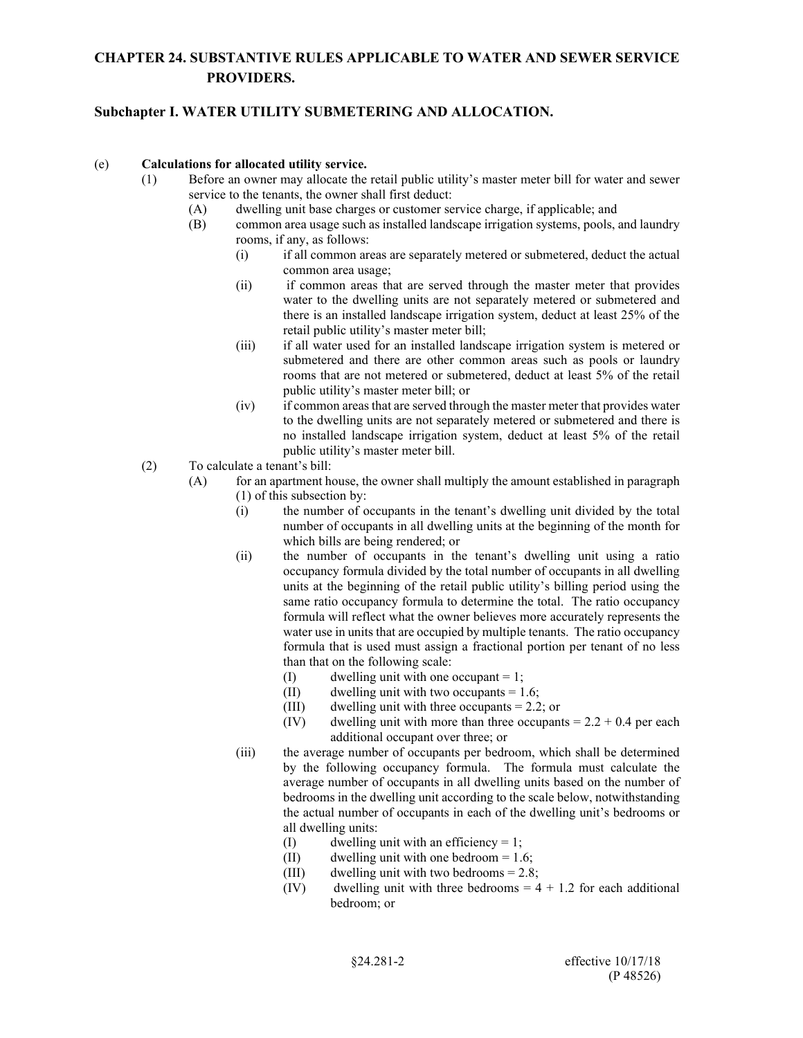### **Subchapter I. WATER UTILITY SUBMETERING AND ALLOCATION.**

#### (e) **Calculations for allocated utility service.**

- (1) Before an owner may allocate the retail public utility's master meter bill for water and sewer service to the tenants, the owner shall first deduct:
	- (A) dwelling unit base charges or customer service charge, if applicable; and
	- (B) common area usage such as installed landscape irrigation systems, pools, and laundry rooms, if any, as follows:
		- (i) if all common areas are separately metered or submetered, deduct the actual common area usage;
		- (ii) if common areas that are served through the master meter that provides water to the dwelling units are not separately metered or submetered and there is an installed landscape irrigation system, deduct at least 25% of the retail public utility's master meter bill;
		- (iii) if all water used for an installed landscape irrigation system is metered or submetered and there are other common areas such as pools or laundry rooms that are not metered or submetered, deduct at least 5% of the retail public utility's master meter bill; or
		- (iv) if common areas that are served through the master meter that provides water to the dwelling units are not separately metered or submetered and there is no installed landscape irrigation system, deduct at least 5% of the retail public utility's master meter bill.
	- (2) To calculate a tenant's bill:
		- (A) for an apartment house, the owner shall multiply the amount established in paragraph (1) of this subsection by:
			- (i) the number of occupants in the tenant's dwelling unit divided by the total number of occupants in all dwelling units at the beginning of the month for which bills are being rendered; or
			- (ii) the number of occupants in the tenant's dwelling unit using a ratio occupancy formula divided by the total number of occupants in all dwelling units at the beginning of the retail public utility's billing period using the same ratio occupancy formula to determine the total. The ratio occupancy formula will reflect what the owner believes more accurately represents the water use in units that are occupied by multiple tenants. The ratio occupancy formula that is used must assign a fractional portion per tenant of no less than that on the following scale:
				- (I) dwelling unit with one occupant  $= 1$ ;
				- (II) dwelling unit with two occupants  $= 1.6$ ;
				- (III) dwelling unit with three occupants = 2.2; or
				- (IV) dwelling unit with more than three occupants  $= 2.2 + 0.4$  per each additional occupant over three; or
			- (iii) the average number of occupants per bedroom, which shall be determined by the following occupancy formula. The formula must calculate the average number of occupants in all dwelling units based on the number of bedrooms in the dwelling unit according to the scale below, notwithstanding the actual number of occupants in each of the dwelling unit's bedrooms or all dwelling units:
				- (I) dwelling unit with an efficiency = 1;
				- (II) dwelling unit with one bedroom  $= 1.6$ ;
				- (III) dwelling unit with two bedrooms = 2.8;
				- (IV) dwelling unit with three bedrooms  $= 4 + 1.2$  for each additional bedroom; or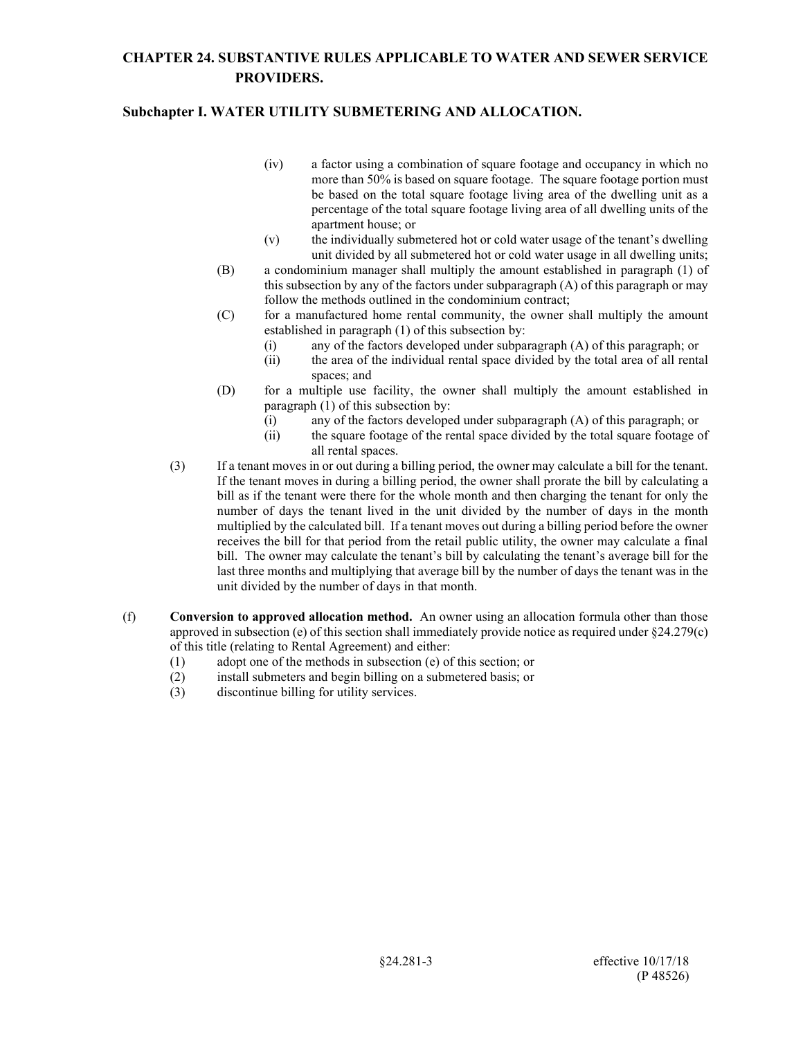- (iv) a factor using a combination of square footage and occupancy in which no more than 50% is based on square footage. The square footage portion must be based on the total square footage living area of the dwelling unit as a percentage of the total square footage living area of all dwelling units of the apartment house; or
- (v) the individually submetered hot or cold water usage of the tenant's dwelling unit divided by all submetered hot or cold water usage in all dwelling units;
- (B) a condominium manager shall multiply the amount established in paragraph (1) of this subsection by any of the factors under subparagraph (A) of this paragraph or may follow the methods outlined in the condominium contract;
- (C) for a manufactured home rental community, the owner shall multiply the amount established in paragraph (1) of this subsection by:
	- (i) any of the factors developed under subparagraph (A) of this paragraph; or
	- (ii) the area of the individual rental space divided by the total area of all rental spaces; and
- (D) for a multiple use facility, the owner shall multiply the amount established in paragraph (1) of this subsection by:
	- (i) any of the factors developed under subparagraph (A) of this paragraph; or
	- (ii) the square footage of the rental space divided by the total square footage of all rental spaces.
- (3) If a tenant moves in or out during a billing period, the owner may calculate a bill for the tenant. If the tenant moves in during a billing period, the owner shall prorate the bill by calculating a bill as if the tenant were there for the whole month and then charging the tenant for only the number of days the tenant lived in the unit divided by the number of days in the month multiplied by the calculated bill. If a tenant moves out during a billing period before the owner receives the bill for that period from the retail public utility, the owner may calculate a final bill. The owner may calculate the tenant's bill by calculating the tenant's average bill for the last three months and multiplying that average bill by the number of days the tenant was in the unit divided by the number of days in that month.
- (f) **Conversion to approved allocation method.** An owner using an allocation formula other than those approved in subsection (e) of this section shall immediately provide notice as required under §24.279(c) of this title (relating to Rental Agreement) and either:
	- (1) adopt one of the methods in subsection (e) of this section; or
	- (2) install submeters and begin billing on a submetered basis; or
	- (3) discontinue billing for utility services.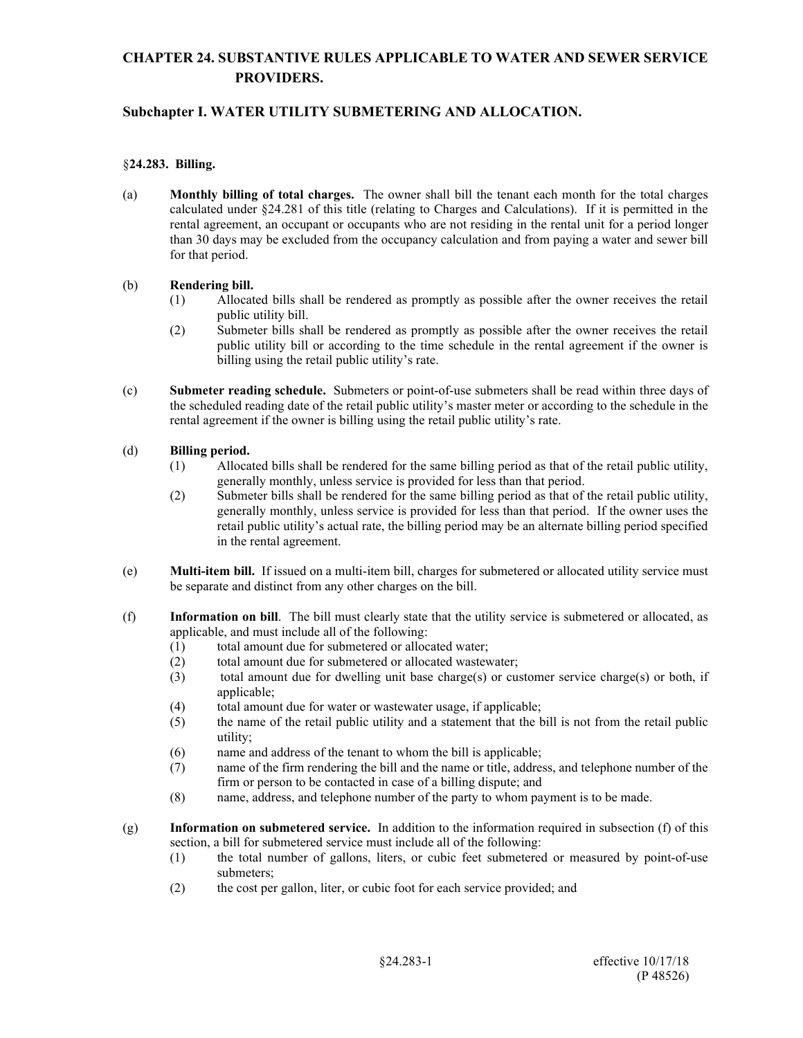### **Subchapter I. WATER UTILITY SUBMETERING AND ALLOCATION.**

#### §**24.283. Billing.**

(a) **Monthly billing of total charges.** The owner shall bill the tenant each month for the total charges calculated under §24.281 of this title (relating to Charges and Calculations). If it is permitted in the rental agreement, an occupant or occupants who are not residing in the rental unit for a period longer than 30 days may be excluded from the occupancy calculation and from paying a water and sewer bill for that period.

#### (b) **Rendering bill.**

- (1) Allocated bills shall be rendered as promptly as possible after the owner receives the retail public utility bill.
- (2) Submeter bills shall be rendered as promptly as possible after the owner receives the retail public utility bill or according to the time schedule in the rental agreement if the owner is billing using the retail public utility's rate.
- (c) **Submeter reading schedule.** Submeters or point-of-use submeters shall be read within three days of the scheduled reading date of the retail public utility's master meter or according to the schedule in the rental agreement if the owner is billing using the retail public utility's rate.

#### (d) **Billing period.**

- (1) Allocated bills shall be rendered for the same billing period as that of the retail public utility, generally monthly, unless service is provided for less than that period.
- (2) Submeter bills shall be rendered for the same billing period as that of the retail public utility, generally monthly, unless service is provided for less than that period. If the owner uses the retail public utility's actual rate, the billing period may be an alternate billing period specified in the rental agreement.
- (e) **Multi-item bill.** If issued on a multi-item bill, charges for submetered or allocated utility service must be separate and distinct from any other charges on the bill.
- (f) **Information on bill**. The bill must clearly state that the utility service is submetered or allocated, as applicable, and must include all of the following:
	- (1) total amount due for submetered or allocated water;
	- (2) total amount due for submetered or allocated wastewater;
	- (3) total amount due for dwelling unit base charge(s) or customer service charge(s) or both, if applicable;
	- (4) total amount due for water or wastewater usage, if applicable;
	- (5) the name of the retail public utility and a statement that the bill is not from the retail public utility;
	- (6) name and address of the tenant to whom the bill is applicable;
	- (7) name of the firm rendering the bill and the name or title, address, and telephone number of the firm or person to be contacted in case of a billing dispute; and
	- (8) name, address, and telephone number of the party to whom payment is to be made.
- (g) **Information on submetered service.** In addition to the information required in subsection (f) of this section, a bill for submetered service must include all of the following:
	- (1) the total number of gallons, liters, or cubic feet submetered or measured by point-of-use submeters;
	- (2) the cost per gallon, liter, or cubic foot for each service provided; and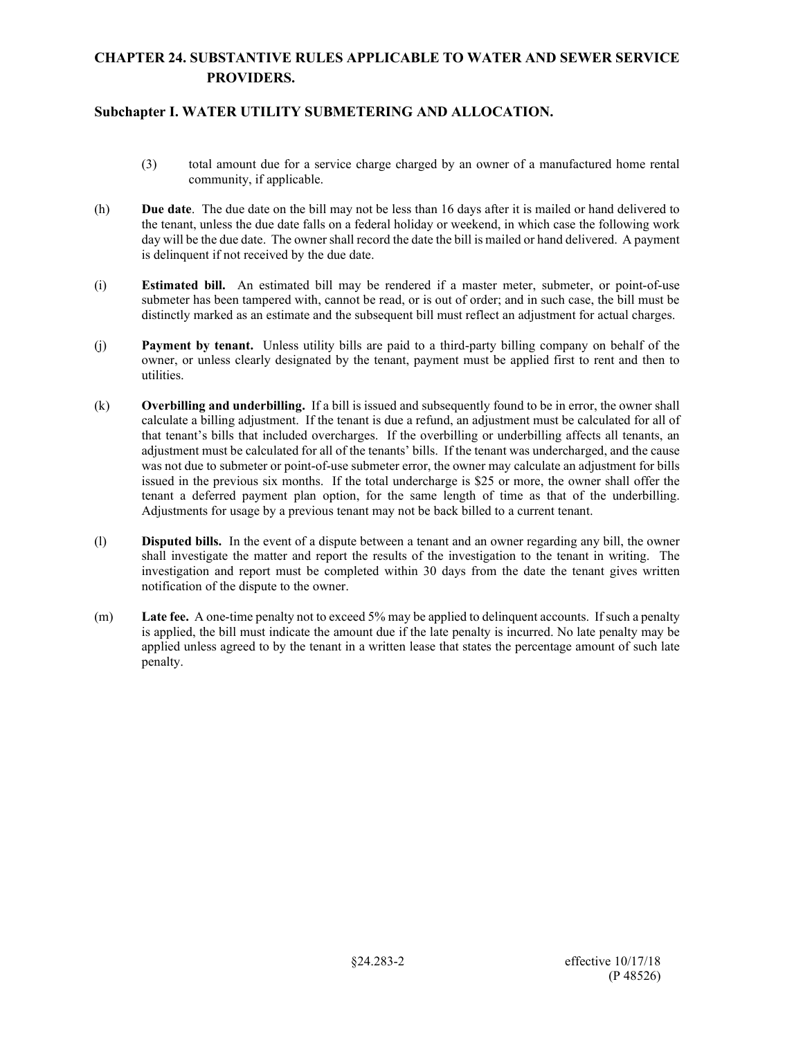- (3) total amount due for a service charge charged by an owner of a manufactured home rental community, if applicable.
- (h) **Due date**. The due date on the bill may not be less than 16 days after it is mailed or hand delivered to the tenant, unless the due date falls on a federal holiday or weekend, in which case the following work day will be the due date. The owner shall record the date the bill is mailed or hand delivered. A payment is delinquent if not received by the due date.
- (i) **Estimated bill.** An estimated bill may be rendered if a master meter, submeter, or point-of-use submeter has been tampered with, cannot be read, or is out of order; and in such case, the bill must be distinctly marked as an estimate and the subsequent bill must reflect an adjustment for actual charges.
- (j) **Payment by tenant.** Unless utility bills are paid to a third-party billing company on behalf of the owner, or unless clearly designated by the tenant, payment must be applied first to rent and then to utilities.
- (k) **Overbilling and underbilling.** If a bill is issued and subsequently found to be in error, the owner shall calculate a billing adjustment. If the tenant is due a refund, an adjustment must be calculated for all of that tenant's bills that included overcharges. If the overbilling or underbilling affects all tenants, an adjustment must be calculated for all of the tenants' bills. If the tenant was undercharged, and the cause was not due to submeter or point-of-use submeter error, the owner may calculate an adjustment for bills issued in the previous six months. If the total undercharge is \$25 or more, the owner shall offer the tenant a deferred payment plan option, for the same length of time as that of the underbilling. Adjustments for usage by a previous tenant may not be back billed to a current tenant.
- (l) **Disputed bills.** In the event of a dispute between a tenant and an owner regarding any bill, the owner shall investigate the matter and report the results of the investigation to the tenant in writing. The investigation and report must be completed within 30 days from the date the tenant gives written notification of the dispute to the owner.
- (m) **Late fee.** A one-time penalty not to exceed 5% may be applied to delinquent accounts. If such a penalty is applied, the bill must indicate the amount due if the late penalty is incurred. No late penalty may be applied unless agreed to by the tenant in a written lease that states the percentage amount of such late penalty.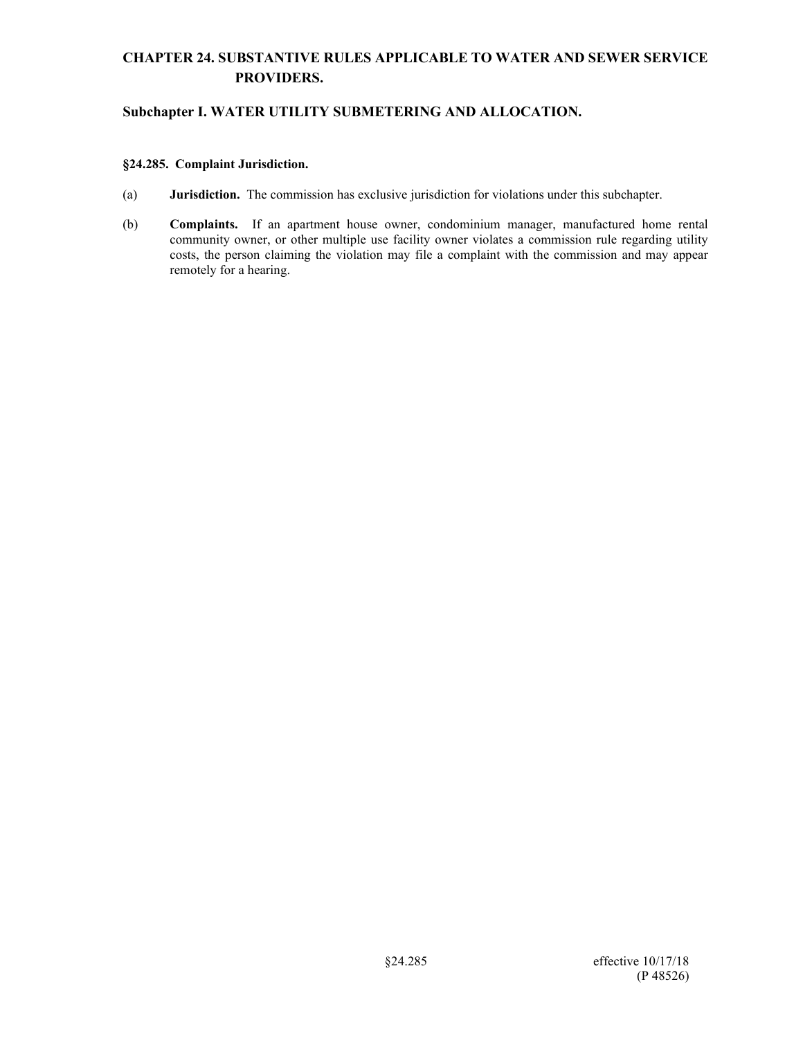## **Subchapter I. WATER UTILITY SUBMETERING AND ALLOCATION.**

#### **§24.285. Complaint Jurisdiction.**

- (a) **Jurisdiction.** The commission has exclusive jurisdiction for violations under this subchapter.
- (b) **Complaints.** If an apartment house owner, condominium manager, manufactured home rental community owner, or other multiple use facility owner violates a commission rule regarding utility costs, the person claiming the violation may file a complaint with the commission and may appear remotely for a hearing.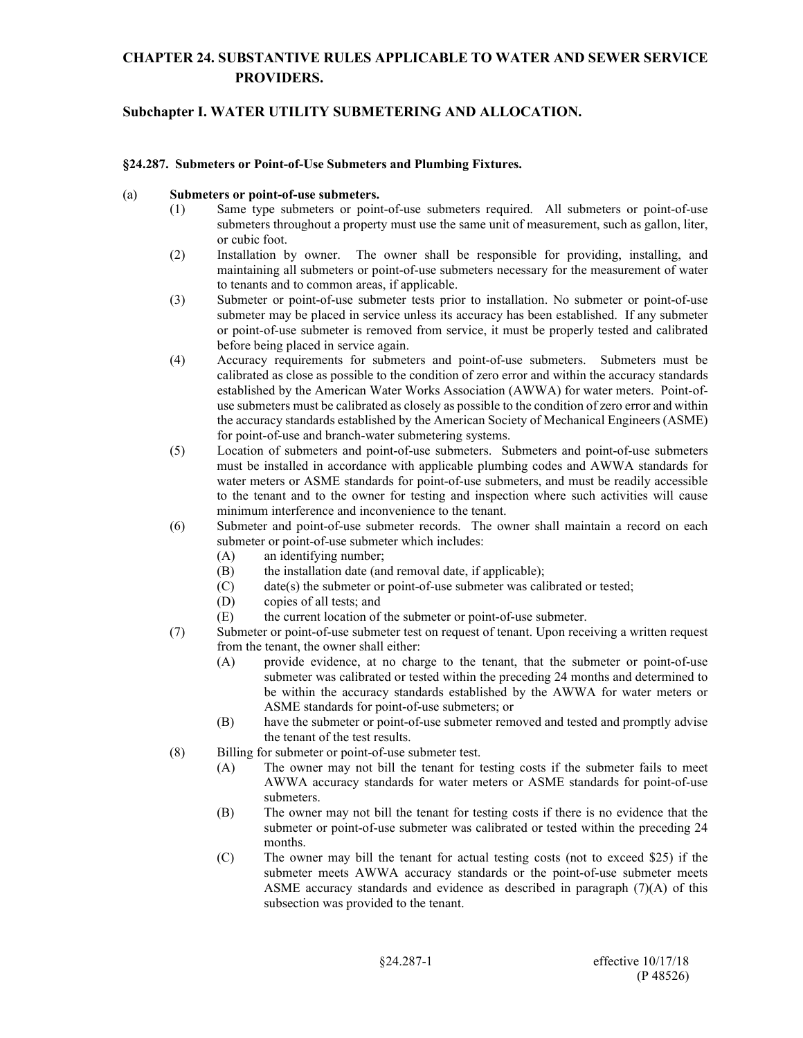### **Subchapter I. WATER UTILITY SUBMETERING AND ALLOCATION.**

#### **§24.287. Submeters or Point-of-Use Submeters and Plumbing Fixtures.**

#### (a) **Submeters or point-of-use submeters.**

- (1) Same type submeters or point-of-use submeters required. All submeters or point-of-use submeters throughout a property must use the same unit of measurement, such as gallon, liter, or cubic foot.
- (2) Installation by owner. The owner shall be responsible for providing, installing, and maintaining all submeters or point-of-use submeters necessary for the measurement of water to tenants and to common areas, if applicable.
- (3) Submeter or point-of-use submeter tests prior to installation. No submeter or point-of-use submeter may be placed in service unless its accuracy has been established. If any submeter or point-of-use submeter is removed from service, it must be properly tested and calibrated before being placed in service again.
- (4) Accuracy requirements for submeters and point-of-use submeters. Submeters must be calibrated as close as possible to the condition of zero error and within the accuracy standards established by the American Water Works Association (AWWA) for water meters. Point-ofuse submeters must be calibrated as closely as possible to the condition of zero error and within the accuracy standards established by the American Society of Mechanical Engineers (ASME) for point-of-use and branch-water submetering systems.
- (5) Location of submeters and point-of-use submeters. Submeters and point-of-use submeters must be installed in accordance with applicable plumbing codes and AWWA standards for water meters or ASME standards for point-of-use submeters, and must be readily accessible to the tenant and to the owner for testing and inspection where such activities will cause minimum interference and inconvenience to the tenant.
- (6) Submeter and point-of-use submeter records. The owner shall maintain a record on each submeter or point-of-use submeter which includes:
	- (A) an identifying number;
	- (B) the installation date (and removal date, if applicable);
	- (C) date(s) the submeter or point-of-use submeter was calibrated or tested;
	- (D) copies of all tests; and
	- (E) the current location of the submeter or point-of-use submeter.
- (7) Submeter or point-of-use submeter test on request of tenant. Upon receiving a written request from the tenant, the owner shall either:
	- (A) provide evidence, at no charge to the tenant, that the submeter or point-of-use submeter was calibrated or tested within the preceding 24 months and determined to be within the accuracy standards established by the AWWA for water meters or ASME standards for point-of-use submeters; or
	- (B) have the submeter or point-of-use submeter removed and tested and promptly advise the tenant of the test results.
- (8) Billing for submeter or point-of-use submeter test.
	- (A) The owner may not bill the tenant for testing costs if the submeter fails to meet AWWA accuracy standards for water meters or ASME standards for point-of-use submeters.
	- (B) The owner may not bill the tenant for testing costs if there is no evidence that the submeter or point-of-use submeter was calibrated or tested within the preceding 24 months.
	- (C) The owner may bill the tenant for actual testing costs (not to exceed \$25) if the submeter meets AWWA accuracy standards or the point-of-use submeter meets ASME accuracy standards and evidence as described in paragraph (7)(A) of this subsection was provided to the tenant.